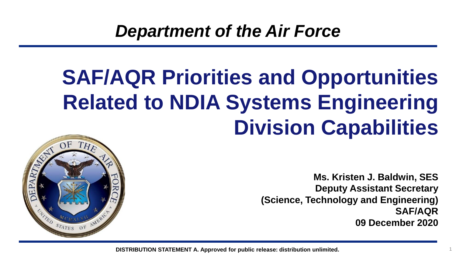# **SAF/AQR Priorities and Opportunities Related to NDIA Systems Engineering Division Capabilities**



**Ms. Kristen J. Baldwin, SES Deputy Assistant Secretary (Science, Technology and Engineering) SAF/AQR 09 December 2020**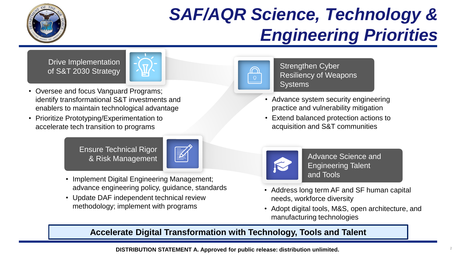

#### *SAF/AQR Science, Technology & Engineering Priorities*

Drive Implementation



- Oversee and focus Vanguard Programs; identify transformational S&T investments and enablers to maintain technological advantage
- Prioritize Prototyping/Experimentation to accelerate tech transition to programs





- Implement Digital Engineering Management; advance engineering policy, guidance, standards
- Update DAF independent technical review methodology; implement with programs



of S&T 2030 Strategy  $\sqrt{M}$  Messliency of Weak Resiliency of Weak Resiliency of Weak Resiliency of Weapons **Systems** 

- Advance system security engineering practice and vulnerability mitigation
- Extend balanced protection actions to acquisition and S&T communities



Advance Science and Engineering Talent and Tools

- Address long term AF and SF human capital needs, workforce diversity
- Adopt digital tools, M&S, open architecture, and manufacturing technologies

#### **Accelerate Digital Transformation with Technology, Tools and Talent**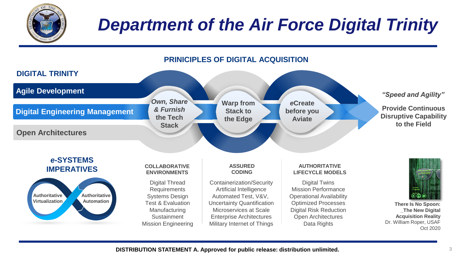

## *Department of the Air Force Digital Trinity*



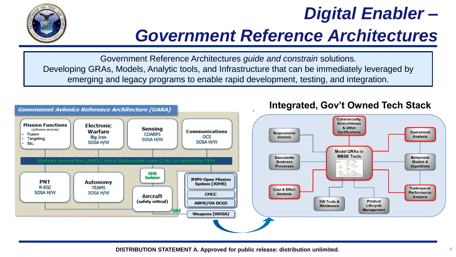

#### *Digital Enabler –*

#### *Government Reference Architectures*

Government Reference Architectures *guide and constrain* solutions. Developing GRAs, Models, Analytic tools, and Infrastructure that can be immediately leveraged by emerging and legacy programs to enable rapid development, testing, and integration.

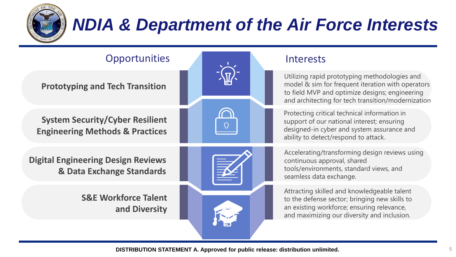

## *NDIA & Department of the Air Force Interests*

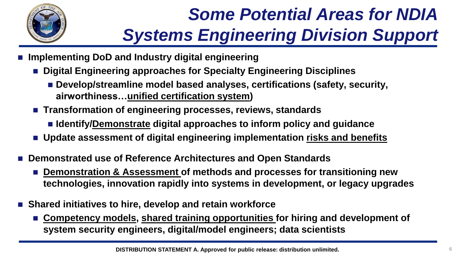

# *Some Potential Areas for NDIA Systems Engineering Division Support*

- **Implementing DoD and Industry digital engineering** 
	- Digital Engineering approaches for Specialty Engineering Disciplines
		- Develop/streamline model based analyses, certifications (safety, security, **airworthiness…unified certification system)**
	- Transformation of engineering processes, reviews, standards
		- **Identify/Demonstrate digital approaches to inform policy and guidance**
	- Update assessment of digital engineering implementation risks and benefits
- Demonstrated use of Reference Architectures and Open Standards
	- Demonstration & Assessment of methods and processes for transitioning new **technologies, innovation rapidly into systems in development, or legacy upgrades**
- Shared initiatives to hire, develop and retain workforce
	- Competency models, shared training opportunities for hiring and development of **system security engineers, digital/model engineers; data scientists**